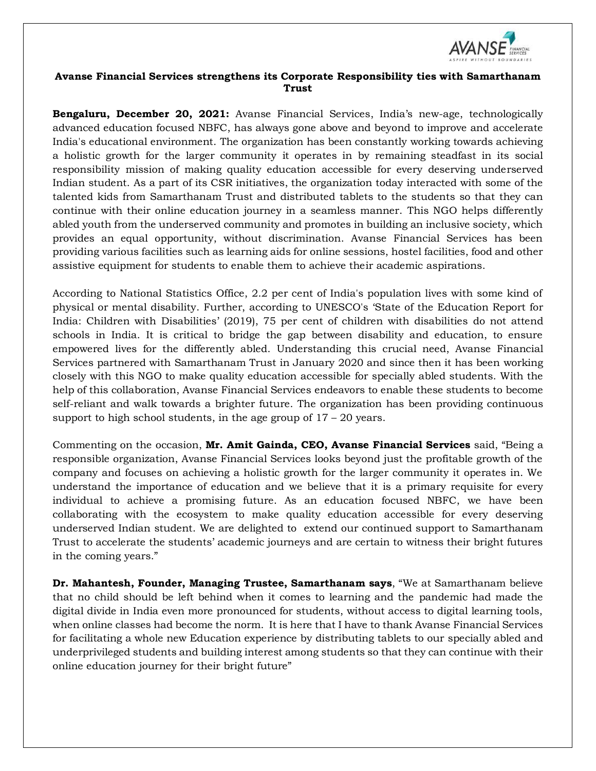

## **Avanse Financial Services strengthens its Corporate Responsibility ties with Samarthanam Trust**

**Bengaluru, December 20, 2021:** Avanse Financial Services, India's new-age, technologically advanced education focused NBFC, has always gone above and beyond to improve and accelerate India's educational environment. The organization has been constantly working towards achieving a holistic growth for the larger community it operates in by remaining steadfast in its social responsibility mission of making quality education accessible for every deserving underserved Indian student. As a part of its CSR initiatives, the organization today interacted with some of the talented kids from Samarthanam Trust and distributed tablets to the students so that they can continue with their online education journey in a seamless manner. This NGO helps differently abled youth from the underserved community and promotes in building an inclusive society, which provides an equal opportunity, without discrimination. Avanse Financial Services has been providing various facilities such as learning aids for online sessions, hostel facilities, food and other assistive equipment for students to enable them to achieve their academic aspirations.

According to National Statistics Office, 2.2 per cent of India's population lives with some kind of physical or mental disability. Further, according to UNESCO's 'State of the Education Report for India: Children with Disabilities' (2019), 75 per cent of children with disabilities do not attend schools in India. It is critical to bridge the gap between disability and education, to ensure empowered lives for the differently abled. Understanding this crucial need, Avanse Financial Services partnered with Samarthanam Trust in January 2020 and since then it has been working closely with this NGO to make quality education accessible for specially abled students. With the help of this collaboration, Avanse Financial Services endeavors to enable these students to become self-reliant and walk towards a brighter future. The organization has been providing continuous support to high school students, in the age group of  $17 - 20$  years.

Commenting on the occasion, **Mr. Amit Gainda, CEO, Avanse Financial Services** said, "Being a responsible organization, Avanse Financial Services looks beyond just the profitable growth of the company and focuses on achieving a holistic growth for the larger community it operates in. We understand the importance of education and we believe that it is a primary requisite for every individual to achieve a promising future. As an education focused NBFC, we have been collaborating with the ecosystem to make quality education accessible for every deserving underserved Indian student. We are delighted to extend our continued support to Samarthanam Trust to accelerate the students' academic journeys and are certain to witness their bright futures in the coming years."

**Dr. Mahantesh, Founder, Managing Trustee, Samarthanam says**, "We at Samarthanam believe that no child should be left behind when it comes to learning and the pandemic had made the digital divide in India even more pronounced for students, without access to digital learning tools, when online classes had become the norm. It is here that I have to thank Avanse Financial Services for facilitating a whole new Education experience by distributing tablets to our specially abled and underprivileged students and building interest among students so that they can continue with their online education journey for their bright future"